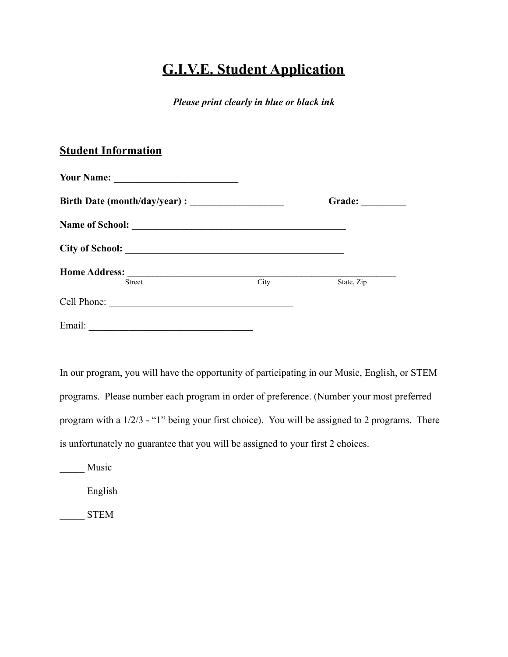## **G.I.V.E. Student Application**

*Please print clearly in blue or black ink*

## **Student Information**

| <b>Your Name:</b><br><u> 1989 - Andrea Station, amerikan bestean ingilang pada tahun 1980 - Andrea Station and Station and Station and Station and Station and Station and Station and Station and Station and Station and Station and Station and St</u> |      | Grade:     |
|-----------------------------------------------------------------------------------------------------------------------------------------------------------------------------------------------------------------------------------------------------------|------|------------|
|                                                                                                                                                                                                                                                           |      |            |
| City of School:                                                                                                                                                                                                                                           |      |            |
| <b>Home Address:</b><br><b>Street</b>                                                                                                                                                                                                                     | City | State, Zip |
| Cell Phone:                                                                                                                                                                                                                                               |      |            |
| Email:                                                                                                                                                                                                                                                    |      |            |

In our program, you will have the opportunity of participating in our Music, English, or STEM programs. Please number each program in order of preference. (Number your most preferred program with a 1/2/3 - "1" being your first choice). You will be assigned to 2 programs. There is unfortunately no guarantee that you will be assigned to your first 2 choices.

Music

English

\_\_\_\_\_ STEM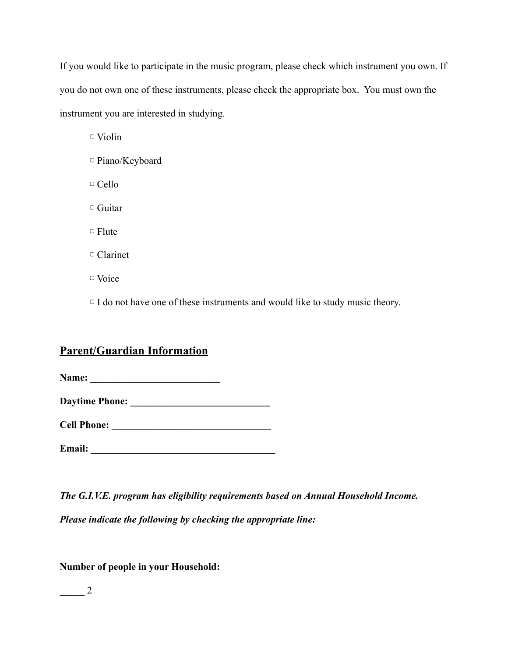If you would like to participate in the music program, please check which instrument you own. If you do not own one of these instruments, please check the appropriate box. You must own the instrument you are interested in studying.

▢ Violin

- ▢ Piano/Keyboard
- ▢ Cello
- ▢ Guitar

▢ Flute

▢ Clarinet

▢ Voice

▢ I do not have one of these instruments and would like to study music theory.

## **Parent/Guardian Information**

**Name: \_\_\_\_\_\_\_\_\_\_\_\_\_\_\_\_\_\_\_\_\_\_\_\_\_\_**

**Daytime Phone:** 

**Cell Phone:**  $\blacksquare$ 

**Email:**  $\blacksquare$ 

*The G.I.V.E. program has eligibility requirements based on Annual Household Income. Please indicate the following by checking the appropriate line:*

**Number of people in your Household:**

\_\_\_\_\_ 2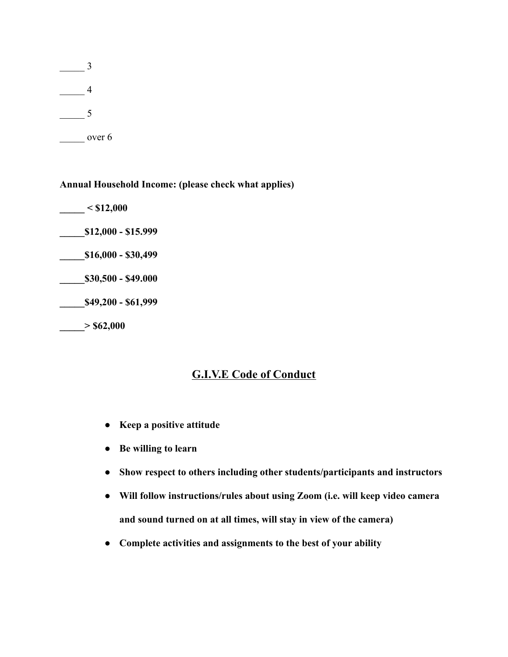\_\_\_\_\_ 3  $\frac{4}{\sqrt{2}}$  $\overline{\phantom{0}}$  5 over 6

**Annual Household Income: (please check what applies)**

**\_\_\_\_\_ < \$12,000 \_\_\_\_\_\$12,000 - \$15.999 \_\_\_\_\_\$16,000 - \$30,499 \_\_\_\_\_\$30,500 - \$49.000 \_\_\_\_\_\$49,200 - \$61,999 \_\_\_\_\_> \$62,000**

## **G.I.V.E Code of Conduct**

- **● Keep a positive attitude**
- **● Be willing to learn**
- **● Show respect to others including other students/participants and instructors**
- **● Will follow instructions/rules about using Zoom (i.e. will keep video camera and sound turned on at all times, will stay in view of the camera)**
- **● Complete activities and assignments to the best of your ability**